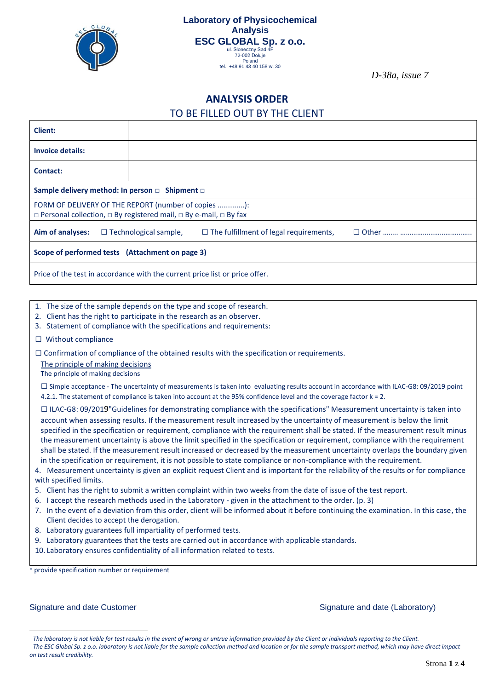

*D-38a, issue 7*

### **ANALYSIS ORDER**

#### TO BE FILLED OUT BY THE CLIENT

| <b>Client:</b>                                                                                                                                |  |                              |                                               |  |  |  |
|-----------------------------------------------------------------------------------------------------------------------------------------------|--|------------------------------|-----------------------------------------------|--|--|--|
| <b>Invoice details:</b>                                                                                                                       |  |                              |                                               |  |  |  |
| Contact:                                                                                                                                      |  |                              |                                               |  |  |  |
| Sample delivery method: In person $\Box$ Shipment $\Box$                                                                                      |  |                              |                                               |  |  |  |
| FORM OF DELIVERY OF THE REPORT (number of copies ):<br>$\Box$ Personal collection, $\Box$ By registered mail, $\Box$ By e-mail, $\Box$ By fax |  |                              |                                               |  |  |  |
| Aim of analyses:                                                                                                                              |  | $\Box$ Technological sample, | $\Box$ The fulfillment of legal requirements, |  |  |  |
| Scope of performed tests (Attachment on page 3)                                                                                               |  |                              |                                               |  |  |  |
| Price of the test in accordance with the current price list or price offer.                                                                   |  |                              |                                               |  |  |  |

- 1. The size of the sample depends on the type and scope of research.
- 2. Client has the right to participate in the research as an observer.
- 3. Statement of compliance with the specifications and requirements:
- □ Without compliance

 $\square$  Confirmation of compliance of the obtained results with the specification or requirements.

The principle of making decisions

The principle of making decisions

 $\square$  Simple acceptance - The uncertainty of measurements is taken into evaluating results account in accordance with ILAC-G8: 09/2019 point 4.2.1. The statement of compliance is taken into account at the 95% confidence level and the coverage factor k = 2.

- $\square$  ILAC-G8: 09/2019"Guidelines for demonstrating compliance with the specifications" Measurement uncertainty is taken into account when assessing results. If the measurement result increased by the uncertainty of measurement is below the limit specified in the specification or requirement, compliance with the requirement shall be stated. If the measurement result minus the measurement uncertainty is above the limit specified in the specification or requirement, compliance with the requirement shall be stated. If the measurement result increased or decreased by the measurement uncertainty overlaps the boundary given in the specification or requirement, it is not possible to state compliance or non-compliance with the requirement.
- 4. Measurement uncertainty is given an explicit request Client and is important for the reliability of the results or for compliance with specified limits.
- 5. Client has the right to submit a written complaint within two weeks from the date of issue of the test report.
- 6. I accept the research methods used in the Laboratory given in the attachment to the order. (p. 3)
- 7. In the event of a deviation from this order, client will be informed about it before continuing the examination. In this case, the Client decides to accept the derogation.
- 8. Laboratory guarantees full impartiality of performed tests.
- 9. Laboratory guarantees that the tests are carried out in accordance with applicable standards.
- 10. Laboratory ensures confidentiality of all information related to tests.

\* provide specification number or requirement

Signature and date Customer Signature and date (Laboratory)

<sup>1</sup> *The laboratory is not liable for test results in the event of wrong or untrue information provided by the Client or individuals reporting to the Client.*

<sup>2</sup> *The ESC Global Sp. z o.o. laboratory is not liable for the sample collection method and location or for the sample transport method, which may have direct impact on test result credibility.*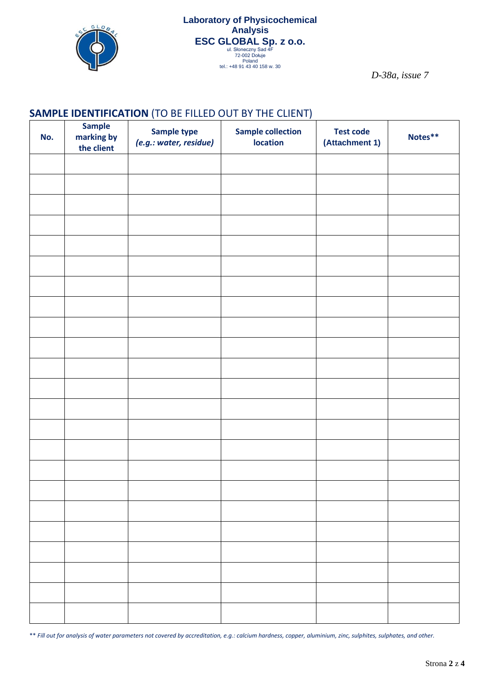

*D-38a, issue 7*

## **SAMPLE IDENTIFICATION** (TO BE FILLED OUT BY THE CLIENT)

| No. | <b>Sample</b><br>marking by<br>the client | Sample type<br>(e.g.: water, residue) | <b>Sample collection</b><br><b>location</b> | <b>Test code</b><br>(Attachment 1) | Notes** |
|-----|-------------------------------------------|---------------------------------------|---------------------------------------------|------------------------------------|---------|
|     |                                           |                                       |                                             |                                    |         |
|     |                                           |                                       |                                             |                                    |         |
|     |                                           |                                       |                                             |                                    |         |
|     |                                           |                                       |                                             |                                    |         |
|     |                                           |                                       |                                             |                                    |         |
|     |                                           |                                       |                                             |                                    |         |
|     |                                           |                                       |                                             |                                    |         |
|     |                                           |                                       |                                             |                                    |         |
|     |                                           |                                       |                                             |                                    |         |
|     |                                           |                                       |                                             |                                    |         |
|     |                                           |                                       |                                             |                                    |         |
|     |                                           |                                       |                                             |                                    |         |
|     |                                           |                                       |                                             |                                    |         |
|     |                                           |                                       |                                             |                                    |         |
|     |                                           |                                       |                                             |                                    |         |
|     |                                           |                                       |                                             |                                    |         |
|     |                                           |                                       |                                             |                                    |         |
|     |                                           |                                       |                                             |                                    |         |
|     |                                           |                                       |                                             |                                    |         |
|     |                                           |                                       |                                             |                                    |         |
|     |                                           |                                       |                                             |                                    |         |
|     |                                           |                                       |                                             |                                    |         |
|     |                                           |                                       |                                             |                                    |         |

\*\* *Fill out for analysis of water parameters not covered by accreditation, e.g.: calcium hardness, copper, aluminium, zinc, sulphites, sulphates, and other.*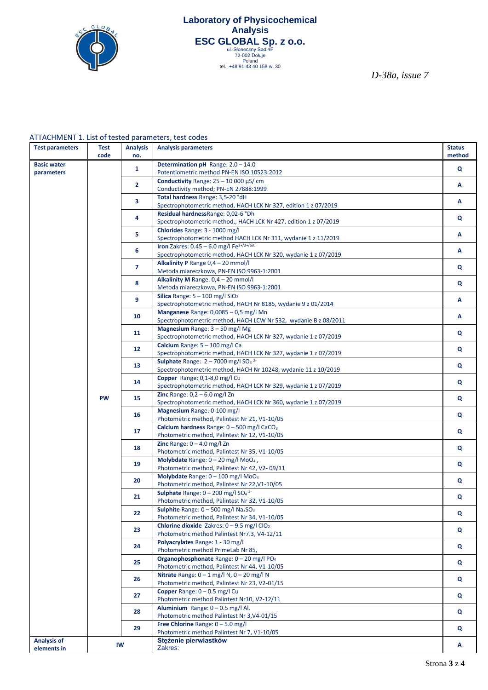

# **[Laboratory](https://pl.pons.com/tłumaczenie/angielski-polski/Laboratory) [of](https://pl.pons.com/tłumaczenie/angielski-polski/of) [Physicochemical](https://pl.pons.com/tłumaczenie/angielski-polski/Physicochemical) [Analysis](https://pl.pons.com/tłumaczenie/angielski-polski/Analysis) ESC GLOBAL Sp. z 0.0.**<br>
ul. Słoneczny Sad 4F<br>
<sup>72-002 Dołuje</sup><br>
Poland<br>
<sup>Poland</sup> 43 40 158 w. 30

*D-38a, issue 7*

#### ATTACHMENT 1. List of tested parameters, test codes

| <b>Test parameters</b>            | <b>Test</b><br>code | <b>Analysis</b><br>no. | <b>Analysis parameters</b>                                                                                                      | <b>Status</b><br>method |
|-----------------------------------|---------------------|------------------------|---------------------------------------------------------------------------------------------------------------------------------|-------------------------|
| <b>Basic water</b><br>parameters  |                     | $\mathbf{1}$           | <b>Determination pH</b> Range: $2.0 - 14.0$<br>Potentiometric method PN-EN ISO 10523:2012                                       | Q                       |
|                                   |                     | $\overline{2}$         | Conductivity Range: $25 - 10000 \mu$ S/ cm<br>Conductivity method; PN-EN 27888:1999                                             | А                       |
|                                   |                     |                        | Total hardness Range: 3,5-20 °dH                                                                                                |                         |
|                                   |                     | 3                      | Spectrophotometric method, HACH LCK Nr 327, edition 1 z 07/2019                                                                 | A                       |
|                                   |                     | 4                      | Residual hardnessRange: 0,02-6 °Dh<br>Spectrophotometric method,, HACH LCK Nr 427, edition 1 z 07/2019                          | Q                       |
|                                   |                     | 5                      | Chlorides Range: 3 - 1000 mg/l<br>Spectrophotometric method HACH LCK Nr 311, wydanie 1 z 11/2019                                | Α                       |
|                                   |                     | 6                      | Iron Zakres: $0.45 - 6.0$ mg/l Fe <sup>2+/3+/tot.</sup><br>Spectrophotometric method, HACH LCK Nr 320, wydanie 1 z 07/2019      | A                       |
|                                   |                     | $\overline{7}$         | Alkalinity P Range 0,4 - 20 mmol/l<br>Metoda miareczkowa, PN-EN ISO 9963-1:2001                                                 | Q                       |
|                                   |                     | 8                      | Alkalinity M Range: 0,4 - 20 mmol/l                                                                                             | Q                       |
|                                   |                     | 9                      | Metoda miareczkowa, PN-EN ISO 9963-1:2001<br>Silica Range: $5 - 100$ mg/l $SiO2$                                                | A                       |
|                                   |                     | 10                     | Spectrophotometric method, HACH Nr 8185, wydanie 9 z 01/2014<br>Manganese Range: 0,0085 - 0,5 mg/l Mn                           | Α                       |
|                                   |                     |                        | Spectrophotometric method, HACH LCW Nr 532, wydanie B z 08/2011<br><b>Magnesium</b> Range: $3 - 50$ mg/l Mg                     |                         |
|                                   |                     | 11                     | Spectrophotometric method, HACH LCK Nr 327, wydanie 1 z 07/2019<br>Calcium Range: 5 - 100 mg/l Ca                               | Q                       |
|                                   |                     | 12                     | Spectrophotometric method, HACH LCK Nr 327, wydanie 1 z 07/2019                                                                 | $\mathbf{Q}$            |
|                                   |                     | 13                     | Sulphate Range: $2 - 7000$ mg/l SO <sub>4</sub> <sup>2-</sup><br>Spectrophotometric method, HACH Nr 10248, wydanie 11 z 10/2019 | Q                       |
|                                   |                     | 14                     | Copper Range: 0,1-8,0 mg/l Cu<br>Spectrophotometric method, HACH LCK Nr 329, wydanie 1 z 07/2019                                | Q                       |
|                                   | <b>PW</b>           | 15                     | Zinc Range: $0,2 - 6.0$ mg/l Zn<br>Spectrophotometric method, HACH LCK Nr 360, wydanie 1 z 07/2019                              | $\mathbf{Q}$            |
|                                   |                     | 16                     | Magnesium Range: 0-100 mg/l<br>Photometric method, Palintest Nr 21, V1-10/05                                                    | Q                       |
|                                   |                     | 17                     | Calcium hardness Range: 0 - 500 mg/l CaCO <sub>3</sub><br>Photometric method, Palintest Nr 12, V1-10/05                         | Q                       |
|                                   |                     | 18                     | Zinc Range: $0 - 4.0$ mg/l Zn                                                                                                   | $\mathbf{Q}$            |
|                                   |                     | 19                     | Photometric method, Palintest Nr 35, V1-10/05<br>Molybdate Range: $0 - 20$ mg/l MoO <sub>4</sub> ,                              | Q                       |
|                                   |                     |                        | Photometric method, Palintest Nr 42, V2-09/11<br>Molybdate Range: $0 - 100$ mg/l MoO <sub>4</sub>                               |                         |
|                                   |                     | 20                     | Photometric method, Palintest Nr 22, V1-10/05<br>Sulphate Range: $0 - 200$ mg/l SO <sub>4</sub> <sup>2-</sup>                   | Q                       |
|                                   |                     | 21                     | Photometric method, Palintest Nr 32, V1-10/05                                                                                   | $\mathbf{Q}$            |
|                                   |                     | 22                     | Sulphite Range: $0 - 500$ mg/l Na2SO <sub>3</sub><br>Photometric method, Palintest Nr 34, V1-10/05                              | Q                       |
|                                   |                     | 23                     | Chlorine dioxide Zakres: $0 - 9.5$ mg/l ClO <sub>2</sub><br>Photometric method Palintest Nr7.3, V4-12/11                        | Q                       |
|                                   |                     | 24                     | Polyacrylates Range: 1 - 30 mg/l<br>Photometric method PrimeLab Nr 85,                                                          | $\mathbf{Q}$            |
|                                   |                     | 25                     | Organophosphonate Range: 0 - 20 mg/l PO <sub>4</sub><br>Photometric method, Palintest Nr 44, V1-10/05                           | Q                       |
|                                   |                     | 26                     | Nitrate Range: $0 - 1$ mg/l N, $0 - 20$ mg/l N<br>Photometric method, Palintest Nr 23, V2-01/15                                 | Q                       |
|                                   |                     | 27                     | Copper Range: 0 - 0.5 mg/l Cu                                                                                                   | Q                       |
|                                   |                     | 28                     | Photometric method Palintest Nr10, V2-12/11<br>Aluminium Range: $0 - 0.5$ mg/l Al.                                              | Q                       |
|                                   |                     |                        | Photometric method Palintest Nr 3, V4-01/15<br>Free Chlorine Range: $0 - 5.0$ mg/l                                              |                         |
|                                   |                     | 29                     | Photometric method Palintest Nr 7, V1-10/05                                                                                     | Q                       |
| <b>Analysis of</b><br>elements in | IW                  |                        | Stężenie pierwiastków<br>Zakres:                                                                                                | A                       |